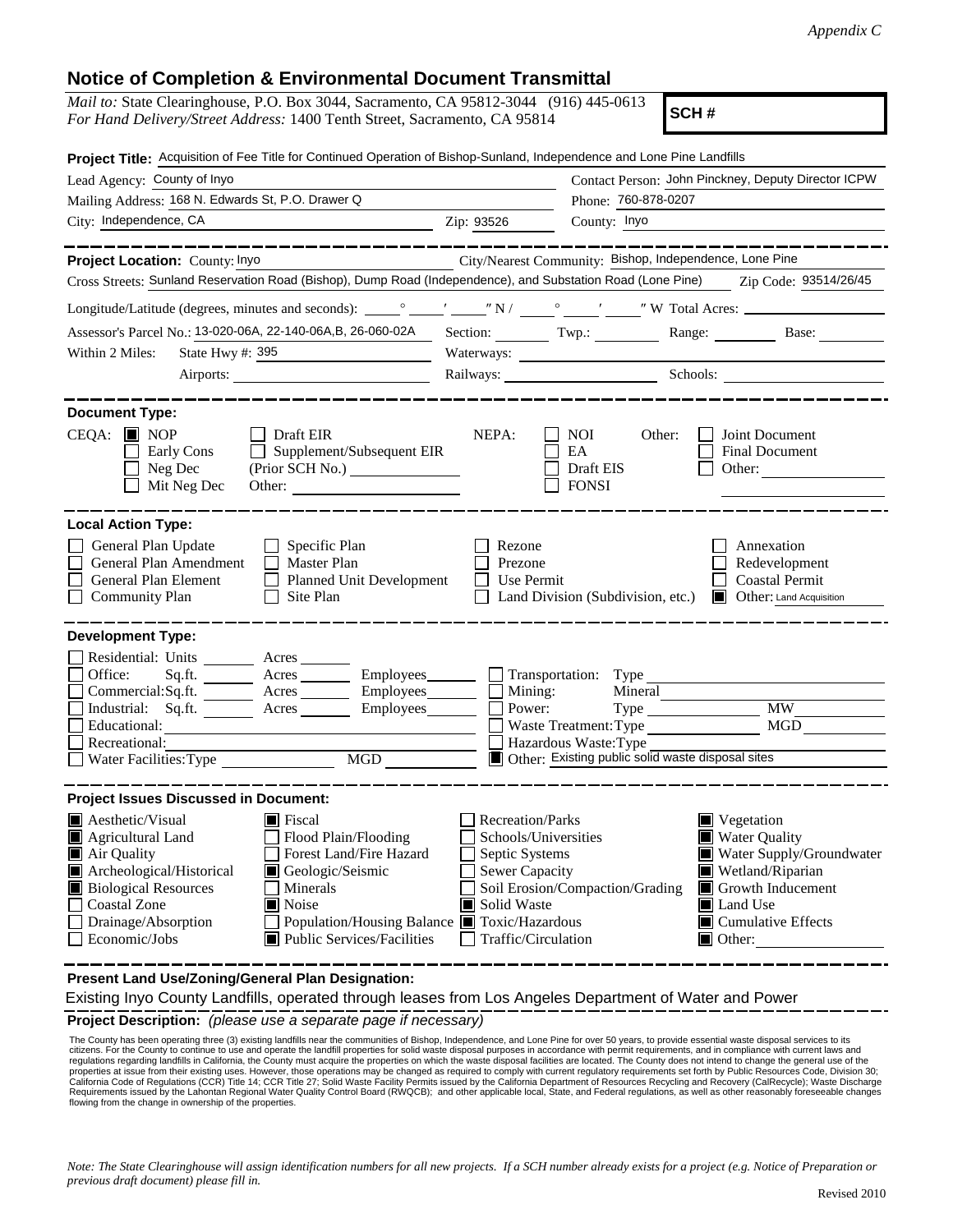## **Notice of Completion & Environmental Document Transmittal**

| <i>Mail to:</i> State Clearinghouse, P.O. Box 3044, Sacramento, CA 95812-3044 (916) 445-0613<br>For Hand Delivery/Street Address: 1400 Tenth Street, Sacramento, CA 95814                                                                                                                                                                                                   |                                                                                                                                              | SCH#                                                                                                                                   |                                                                                                                                                                                     |
|-----------------------------------------------------------------------------------------------------------------------------------------------------------------------------------------------------------------------------------------------------------------------------------------------------------------------------------------------------------------------------|----------------------------------------------------------------------------------------------------------------------------------------------|----------------------------------------------------------------------------------------------------------------------------------------|-------------------------------------------------------------------------------------------------------------------------------------------------------------------------------------|
| Project Title: Acquisition of Fee Title for Continued Operation of Bishop-Sunland, Independence and Lone Pine Landfills<br>Lead Agency: County of Inyo                                                                                                                                                                                                                      |                                                                                                                                              |                                                                                                                                        | Contact Person: John Pinckney, Deputy Director ICPW                                                                                                                                 |
| Mailing Address: 168 N. Edwards St, P.O. Drawer Q                                                                                                                                                                                                                                                                                                                           |                                                                                                                                              | Phone: 760-878-0207                                                                                                                    |                                                                                                                                                                                     |
| City: Independence, CA                                                                                                                                                                                                                                                                                                                                                      | Zip: 93526                                                                                                                                   | County: Inyo                                                                                                                           |                                                                                                                                                                                     |
| Project Location: County: Inyo<br>Cross Streets: Sunland Reservation Road (Bishop), Dump Road (Independence), and Substation Road (Lone Pine) Zip Code: 93514/26/45                                                                                                                                                                                                         |                                                                                                                                              | City/Nearest Community: Bishop, Independence, Lone Pine                                                                                |                                                                                                                                                                                     |
|                                                                                                                                                                                                                                                                                                                                                                             |                                                                                                                                              |                                                                                                                                        |                                                                                                                                                                                     |
| Assessor's Parcel No.: 13-020-06A, 22-140-06A, B, 26-060-02A                                                                                                                                                                                                                                                                                                                |                                                                                                                                              |                                                                                                                                        |                                                                                                                                                                                     |
|                                                                                                                                                                                                                                                                                                                                                                             |                                                                                                                                              | Section: Twp.: Range: Base:                                                                                                            |                                                                                                                                                                                     |
| State Hwy #: 395<br>Within 2 Miles:                                                                                                                                                                                                                                                                                                                                         |                                                                                                                                              |                                                                                                                                        |                                                                                                                                                                                     |
|                                                                                                                                                                                                                                                                                                                                                                             |                                                                                                                                              |                                                                                                                                        | Railways: Schools: Schools:                                                                                                                                                         |
| <b>Document Type:</b><br>$CEQA: \blacksquare$ NOP<br>$\Box$ Draft EIR<br>$\Box$ Supplement/Subsequent EIR<br>Early Cons<br>Neg Dec<br>(Prior SCH No.)<br>Mit Neg Dec                                                                                                                                                                                                        | NEPA:                                                                                                                                        | NOI.<br>Other:<br>EA<br>Draft EIS<br><b>FONSI</b>                                                                                      | Joint Document<br><b>Final Document</b><br>Other:                                                                                                                                   |
| <b>Local Action Type:</b>                                                                                                                                                                                                                                                                                                                                                   |                                                                                                                                              |                                                                                                                                        |                                                                                                                                                                                     |
| General Plan Update<br>$\Box$ Specific Plan<br>General Plan Amendment<br>Master Plan<br>General Plan Element<br>Planned Unit Development<br>Site Plan<br><b>Community Plan</b><br>$\mathsf{L}$                                                                                                                                                                              | Rezone<br>Prezone<br>Use Permit                                                                                                              | Land Division (Subdivision, etc.)                                                                                                      | Annexation<br>Redevelopment<br><b>Coastal Permit</b><br><b>Other:</b> Land Acquisition                                                                                              |
| <b>Development Type:</b>                                                                                                                                                                                                                                                                                                                                                    |                                                                                                                                              |                                                                                                                                        |                                                                                                                                                                                     |
| Residential: Units ________ Acres _______<br>Office:<br>Sq.fit.<br>$A$ cres $\_\_\_\_\_\_\$<br>$Employes$ <sub>____________</sub><br>Employees________<br>Commercial:Sq.ft. _________ Acres _______<br>Industrial: Sq.ft. _______ Acres ______<br>Employees_______<br>Educational:<br>Recreational:<br><b>MGD</b><br>Water Facilities: Type                                 | Mining:<br>Power:                                                                                                                            | Transportation: Type<br>Mineral<br>Waste Treatment: Type<br>Hazardous Waste: Type<br>Other: Existing public solid waste disposal sites | <b>MW</b><br><b>MGD</b>                                                                                                                                                             |
|                                                                                                                                                                                                                                                                                                                                                                             |                                                                                                                                              |                                                                                                                                        |                                                                                                                                                                                     |
| <b>Project Issues Discussed in Document:</b>                                                                                                                                                                                                                                                                                                                                |                                                                                                                                              |                                                                                                                                        |                                                                                                                                                                                     |
| $\blacksquare$ Aesthetic/Visual<br>$\blacksquare$ Fiscal<br>Agricultural Land<br>Flood Plain/Flooding<br>Forest Land/Fire Hazard<br>Air Quality<br>Archeological/Historical<br>Geologic/Seismic<br><b>Biological Resources</b><br>Minerals<br>Coastal Zone<br>■ Noise<br>Drainage/Absorption<br>Population/Housing Balance ■<br>Economic/Jobs<br>Public Services/Facilities | Recreation/Parks<br>Schools/Universities<br>Septic Systems<br><b>Sewer Capacity</b><br>Solid Waste<br>Toxic/Hazardous<br>Traffic/Circulation | Soil Erosion/Compaction/Grading                                                                                                        | $\blacksquare$ Vegetation<br>■ Water Quality<br>Water Supply/Groundwater<br>Wetland/Riparian<br>Growth Inducement<br>Land Use<br>$\blacksquare$ Cumulative Effects<br>$\Box$ Other: |

**Present Land Use/Zoning/General Plan Designation:**

Existing Inyo County Landfills, operated through leases from Los Angeles Department of Water and Power

**Project Description:** *(please use a separate page if necessary)*

The County has been operating three (3) existing landfills near the communities of Bishop, Independence, and Lone Pine for over 50 years, to provide essential waste disposal services to its<br>citizens. For the County to cont The County has been operating three (3) existing landfills near the communities of Bishop, Independence, and Lone Pine for over 50 years, to provide essential waste disposal services to its properties at issue from their existing uses. However, those operations may be changed as required to comply with current regulatory requirements set forth by Public Resources Code, Division 30;<br>California Code of Regulati flowing from the change in ownership of the properties.

*Note: The State Clearinghouse will assign identification numbers for all new projects. If a SCH number already exists for a project (e.g. Notice of Preparation or previous draft document) please fill in.*